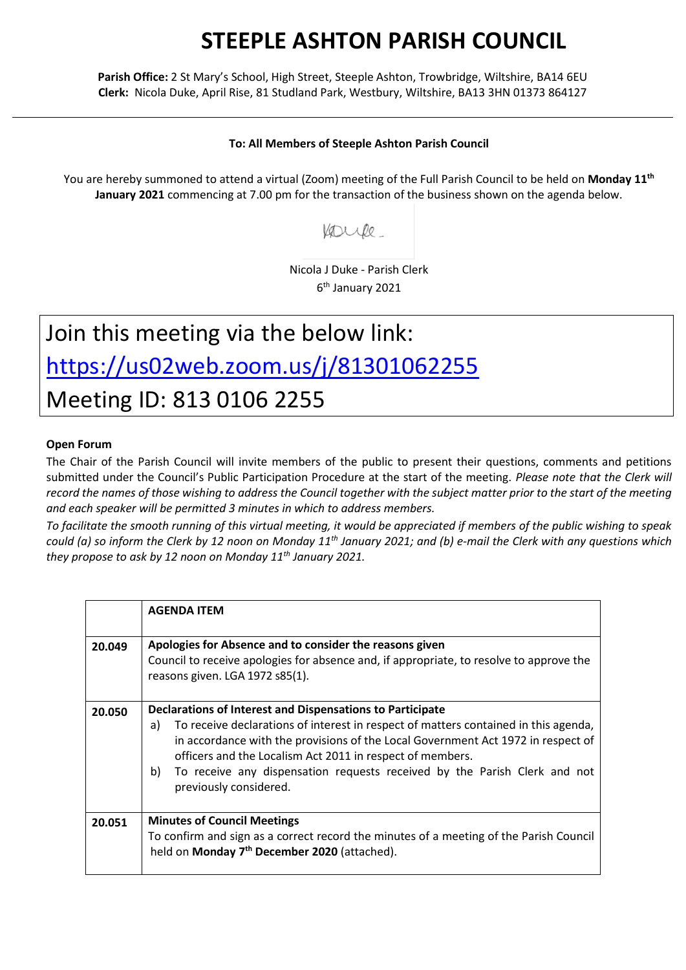## **STEEPLE ASHTON PARISH COUNCIL**

**Parish Office:** 2 St Mary's School, High Street, Steeple Ashton, Trowbridge, Wiltshire, BA14 6EU **Clerk:** Nicola Duke, April Rise, 81 Studland Park, Westbury, Wiltshire, BA13 3HN 01373 864127

## **To: All Members of Steeple Ashton Parish Council**

You are hereby summoned to attend a virtual (Zoom) meeting of the Full Parish Council to be held on **Monday 11th January 2021** commencing at 7.00 pm for the transaction of the business shown on the agenda below.

Voorile

Nicola J Duke - Parish Clerk 6 th January 2021

## Join this meeting via the below link: <https://us02web.zoom.us/j/81301062255> Meeting ID: 813 0106 2255

## **Open Forum**

The Chair of the Parish Council will invite members of the public to present their questions, comments and petitions submitted under the Council's Public Participation Procedure at the start of the meeting. *Please note that the Clerk will record the names of those wishing to address the Council together with the subject matter prior to the start of the meeting and each speaker will be permitted 3 minutes in which to address members.*

*To facilitate the smooth running of this virtual meeting, it would be appreciated if members of the public wishing to speak could (a) so inform the Clerk by 12 noon on Monday 11th January 2021; and (b) e-mail the Clerk with any questions which they propose to ask by 12 noon on Monday 11th January 2021.*

|        | <b>AGENDA ITEM</b>                                                                                                                                                                                                                                                                                                                                                                                                   |
|--------|----------------------------------------------------------------------------------------------------------------------------------------------------------------------------------------------------------------------------------------------------------------------------------------------------------------------------------------------------------------------------------------------------------------------|
| 20.049 | Apologies for Absence and to consider the reasons given<br>Council to receive apologies for absence and, if appropriate, to resolve to approve the<br>reasons given. LGA 1972 s85(1).                                                                                                                                                                                                                                |
| 20.050 | Declarations of Interest and Dispensations to Participate<br>To receive declarations of interest in respect of matters contained in this agenda,<br>a)<br>in accordance with the provisions of the Local Government Act 1972 in respect of<br>officers and the Localism Act 2011 in respect of members.<br>To receive any dispensation requests received by the Parish Clerk and not<br>b)<br>previously considered. |
| 20.051 | <b>Minutes of Council Meetings</b><br>To confirm and sign as a correct record the minutes of a meeting of the Parish Council<br>held on Monday 7 <sup>th</sup> December 2020 (attached).                                                                                                                                                                                                                             |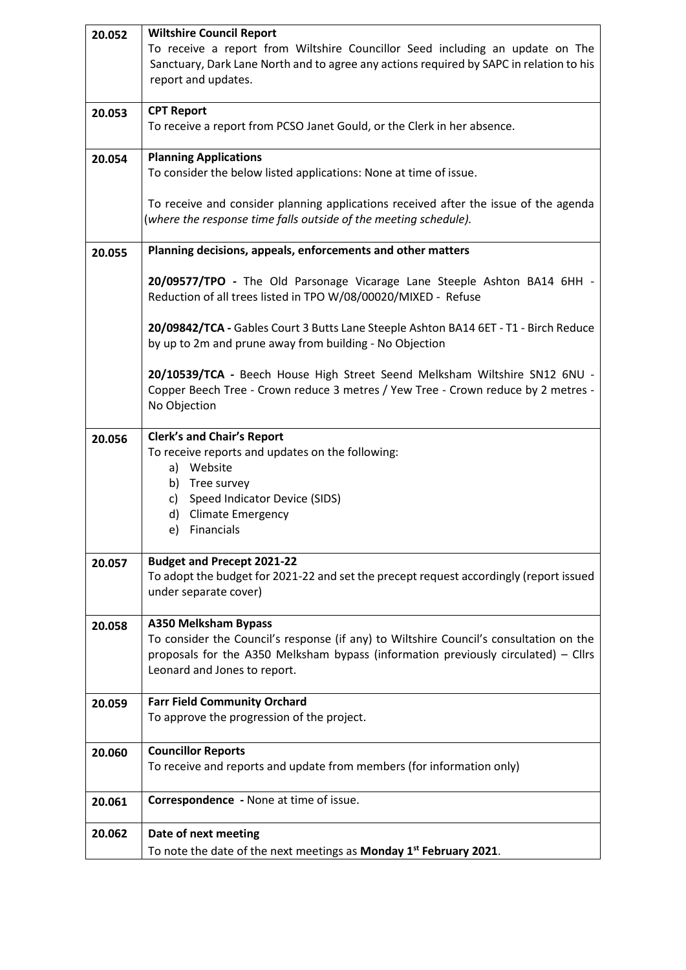| 20.052 | <b>Wiltshire Council Report</b>                                                                                                                                              |
|--------|------------------------------------------------------------------------------------------------------------------------------------------------------------------------------|
|        | To receive a report from Wiltshire Councillor Seed including an update on The                                                                                                |
|        | Sanctuary, Dark Lane North and to agree any actions required by SAPC in relation to his<br>report and updates.                                                               |
|        |                                                                                                                                                                              |
| 20.053 | <b>CPT Report</b>                                                                                                                                                            |
|        | To receive a report from PCSO Janet Gould, or the Clerk in her absence.                                                                                                      |
| 20.054 | <b>Planning Applications</b>                                                                                                                                                 |
|        | To consider the below listed applications: None at time of issue.                                                                                                            |
|        |                                                                                                                                                                              |
|        | To receive and consider planning applications received after the issue of the agenda<br>(where the response time falls outside of the meeting schedule).                     |
|        |                                                                                                                                                                              |
| 20.055 | Planning decisions, appeals, enforcements and other matters                                                                                                                  |
|        | 20/09577/TPO - The Old Parsonage Vicarage Lane Steeple Ashton BA14 6HH -                                                                                                     |
|        | Reduction of all trees listed in TPO W/08/00020/MIXED - Refuse                                                                                                               |
|        | 20/09842/TCA - Gables Court 3 Butts Lane Steeple Ashton BA14 6ET - T1 - Birch Reduce                                                                                         |
|        | by up to 2m and prune away from building - No Objection                                                                                                                      |
|        |                                                                                                                                                                              |
|        | 20/10539/TCA - Beech House High Street Seend Melksham Wiltshire SN12 6NU -<br>Copper Beech Tree - Crown reduce 3 metres / Yew Tree - Crown reduce by 2 metres -              |
|        | No Objection                                                                                                                                                                 |
|        |                                                                                                                                                                              |
| 20.056 | <b>Clerk's and Chair's Report</b>                                                                                                                                            |
|        | To receive reports and updates on the following:<br>Website<br>a)                                                                                                            |
|        | b) Tree survey                                                                                                                                                               |
|        | c) Speed Indicator Device (SIDS)                                                                                                                                             |
|        | d) Climate Emergency<br>e) Financials                                                                                                                                        |
|        |                                                                                                                                                                              |
| 20.057 | <b>Budget and Precept 2021-22</b>                                                                                                                                            |
|        | To adopt the budget for 2021-22 and set the precept request accordingly (report issued<br>under separate cover)                                                              |
|        |                                                                                                                                                                              |
| 20.058 | <b>A350 Melksham Bypass</b>                                                                                                                                                  |
|        | To consider the Council's response (if any) to Wiltshire Council's consultation on the<br>proposals for the A350 Melksham bypass (information previously circulated) – Cllrs |
|        | Leonard and Jones to report.                                                                                                                                                 |
|        |                                                                                                                                                                              |
| 20.059 | <b>Farr Field Community Orchard</b>                                                                                                                                          |
|        | To approve the progression of the project.                                                                                                                                   |
| 20.060 | <b>Councillor Reports</b>                                                                                                                                                    |
|        | To receive and reports and update from members (for information only)                                                                                                        |
|        |                                                                                                                                                                              |
| 20.061 | Correspondence - None at time of issue.                                                                                                                                      |
| 20.062 | Date of next meeting                                                                                                                                                         |
|        | To note the date of the next meetings as Monday 1 <sup>st</sup> February 2021.                                                                                               |